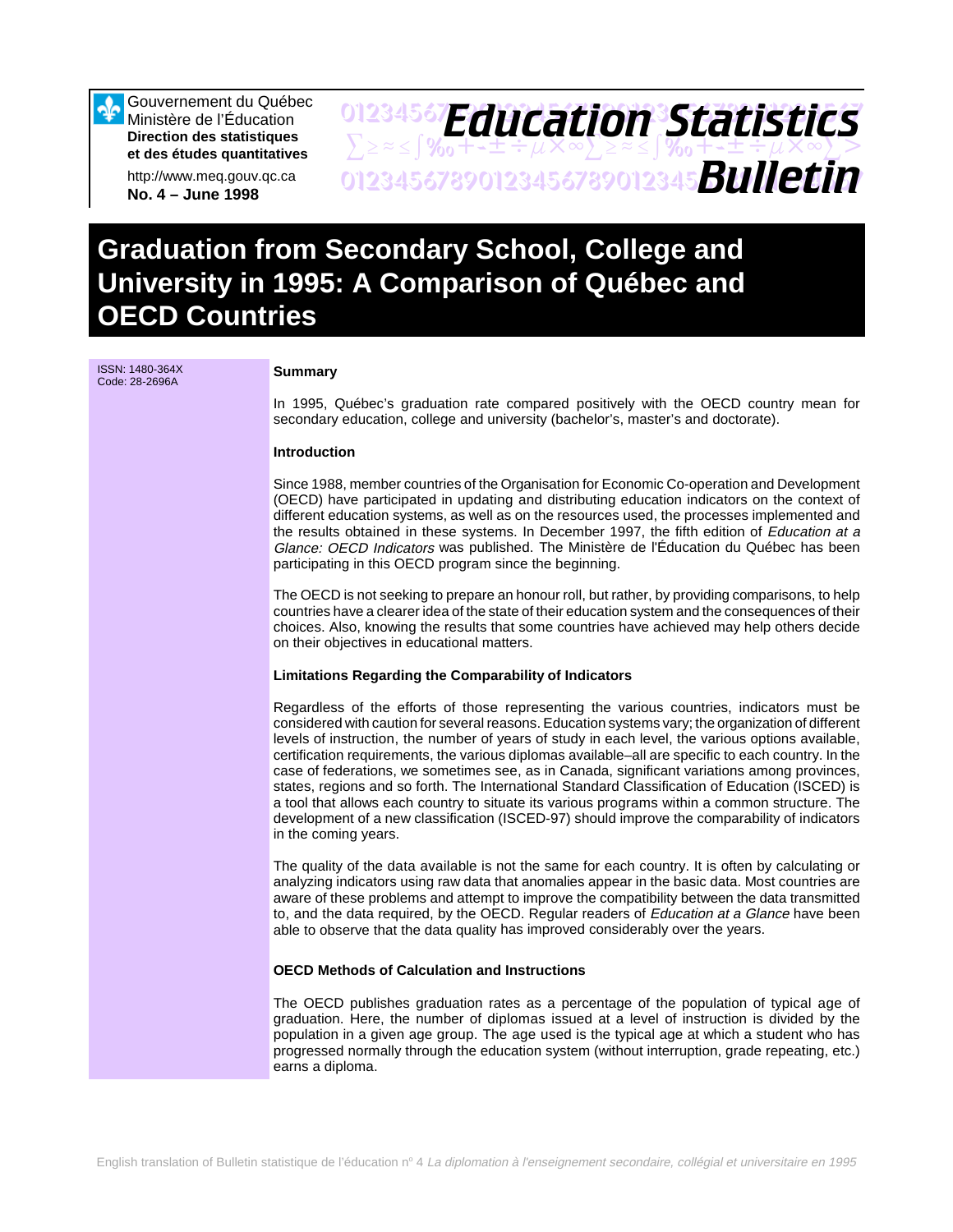Gouvernement du Québec Ministère de l'Éducation **Direction des statistiques et des études quantitatives**

http://www.meq.gouv.qc.ca **No. 4 – June 1998**

# 01234567**F***Anri Stion Statictice*  $\sum z \approx \int \mathcal{X}_0 + \pm \pm \div \mu \times \infty$  $\sum z \approx \pm \int \mathcal{X}_0 + \pm \pm \div \mu \times \infty$  $\sum >$ 01234567890123456789012345678901234567 *Bulletin Education Statistics*

# **Graduation from Secondary School, College and University in 1995: A Comparison of Québec and OECD Countries**

ISSN: 1480-364X Code: 28-2696A **Summary**

In 1995, Québec's graduation rate compared positively with the OECD country mean for secondary education, college and university (bachelor's, master's and doctorate).

### **Introduction**

Since 1988, member countries of the Organisation for Economic Co-operation and Development (OECD) have participated in updating and distributing education indicators on the context of different education systems, as well as on the resources used, the processes implemented and the results obtained in these systems. In December 1997, the fifth edition of Education at a Glance: OECD Indicators was published. The Ministère de l'Éducation du Québec has been participating in this OECD program since the beginning.

The OECD is not seeking to prepare an honour roll, but rather, by providing comparisons, to help countries have a clearer idea of the state of their education system and the consequences of their choices. Also, knowing the results that some countries have achieved may help others decide on their objectives in educational matters.

#### **Limitations Regarding the Comparability of Indicators**

Regardless of the efforts of those representing the various countries, indicators must be considered with caution for several reasons. Education systems vary; the organization of different levels of instruction, the number of years of study in each level, the various options available, certification requirements, the various diplomas available–all are specific to each country. In the case of federations, we sometimes see, as in Canada, significant variations among provinces, states, regions and so forth. The International Standard Classification of Education (ISCED) is a tool that allows each country to situate its various programs within a common structure. The development of a new classification (ISCED-97) should improve the comparability of indicators in the coming years.

The quality of the data available is not the same for each country. It is often by calculating or analyzing indicators using raw data that anomalies appear in the basic data. Most countries are aware of these problems and attempt to improve the compatibility between the data transmitted to, and the data required, by the OECD. Regular readers of Education at a Glance have been able to observe that the data quality has improved considerably over the years.

### **OECD Methods of Calculation and Instructions**

The OECD publishes graduation rates as a percentage of the population of typical age of graduation. Here, the number of diplomas issued at a level of instruction is divided by the population in a given age group. The age used is the typical age at which a student who has progressed normally through the education system (without interruption, grade repeating, etc.) earns a diploma.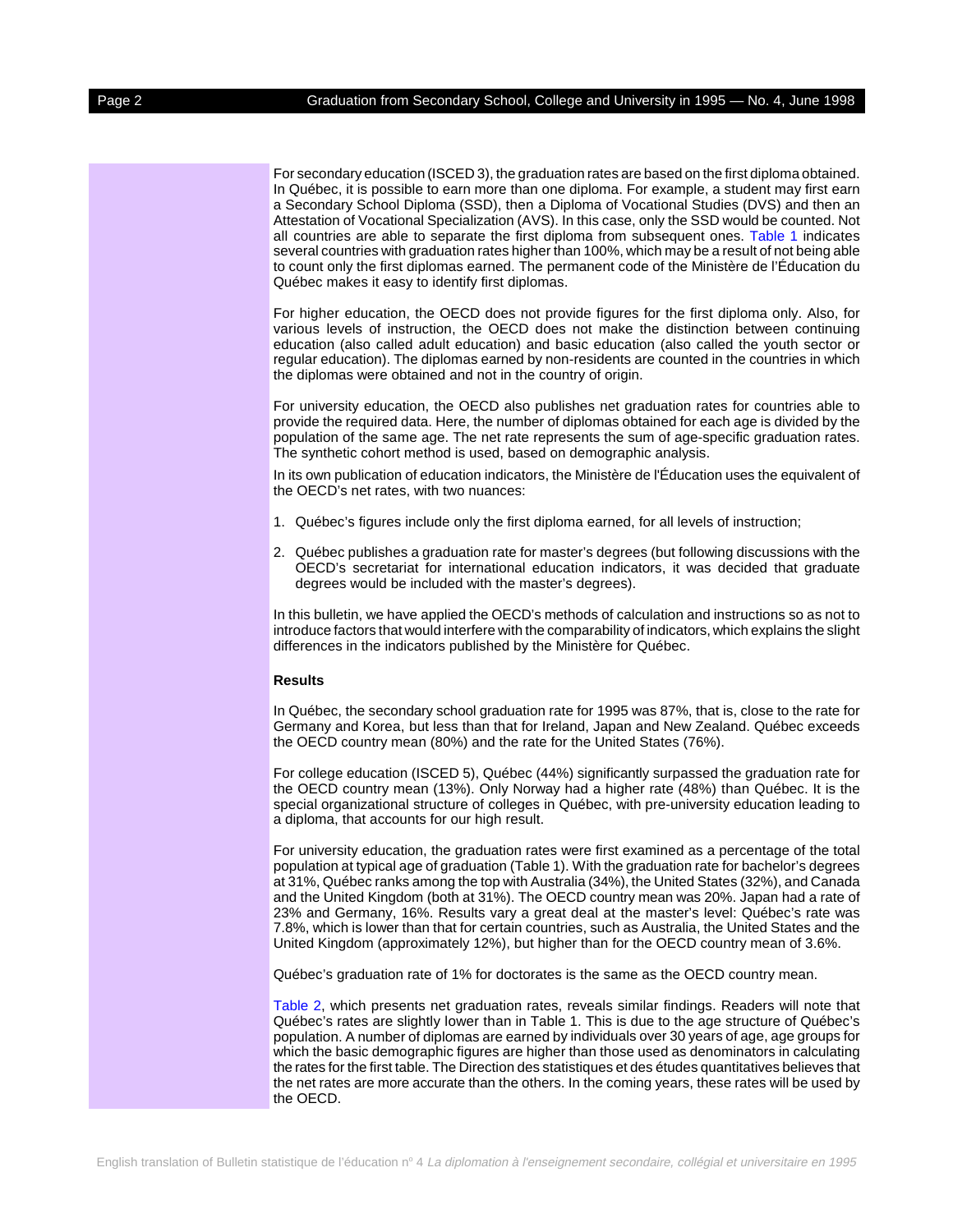For secondary education (ISCED 3), the graduation rates are based on the first diploma obtained. In Québec, it is possible to earn more than one diploma. For example, a student may first earn a Secondary School Diploma (SSD), then a Diploma of Vocational Studies (DVS) and then an Attestation of Vocational Specialization (AVS). In this case, only the SSD would be counted. Not all countries are able to separate the first diploma from subsequent ones[. Table 1 i](#page-3-0)ndicates several countries with graduation rates higher than 100%, which may be a result of not being able to count only the first diplomas earned. The permanent code of the Ministère de l'Éducation du Québec makes it easy to identify first diplomas.

For higher education, the OECD does not provide figures for the first diploma only. Also, for various levels of instruction, the OECD does not make the distinction between continuing education (also called adult education) and basic education (also called the youth sector or regular education). The diplomas earned by non-residents are counted in the countries in which the diplomas were obtained and not in the country of origin.

For university education, the OECD also publishes net graduation rates for countries able to provide the required data. Here, the number of diplomas obtained for each age is divided by the population of the same age. The net rate represents the sum of age-specific graduation rates. The synthetic cohort method is used, based on demographic analysis.

In its own publication of education indicators, the Ministère de l'Éducation uses the equivalent of the OECD's net rates, with two nuances:

- 1. Québec's figures include only the first diploma earned, for all levels of instruction;
- 2. Québec publishes a graduation rate for master's degrees (but following discussions with the OECD's secretariat for international education indicators, it was decided that graduate degrees would be included with the master's degrees).

In this bulletin, we have applied the OECD's methods of calculation and instructions so as not to introduce factors that would interfere with the comparability of indicators, which explains the slight differences in the indicators published by the Ministère for Québec.

#### **Results**

In Québec, the secondary school graduation rate for 1995 was 87%, that is, close to the rate for Germany and Korea, but less than that for Ireland, Japan and New Zealand. Québec exceeds the OECD country mean (80%) and the rate for the United States (76%).

For college education (ISCED 5), Québec (44%) significantly surpassed the graduation rate for the OECD country mean (13%). Only Norway had a higher rate (48%) than Québec. It is the special organizational structure of colleges in Québec, with pre-university education leading to a diploma, that accounts for our high result.

For university education, the graduation rates were first examined as a percentage of the total population at typical age of graduation (Table 1). With the graduation rate for bachelor's degrees at 31%, Québec ranks among the top with Australia (34%), the United States (32%), and Canada and the United Kingdom (both at 31%). The OECD country mean was 20%. Japan had a rate of 23% and Germany, 16%. Results vary a great deal at the master's level: Québec's rate was 7.8%, which is lower than that for certain countries, such as Australia, the United States and the United Kingdom (approximately 12%), but higher than for the OECD country mean of 3.6%.

Québec's graduation rate of 1% for doctorates is the same as the OECD country mean.

[Table 2,](#page-4-0) which presents net graduation rates, reveals similar findings. Readers will note that Québec's rates are slightly lower than in Table 1. This is due to the age structure of Québec's population. A number of diplomas are earned by individuals over 30 years of age, age groups for which the basic demographic figures are higher than those used as denominators in calculating the rates for the first table. The Direction des statistiques et des études quantitatives believes that the net rates are more accurate than the others. In the coming years, these rates will be used by the OECD.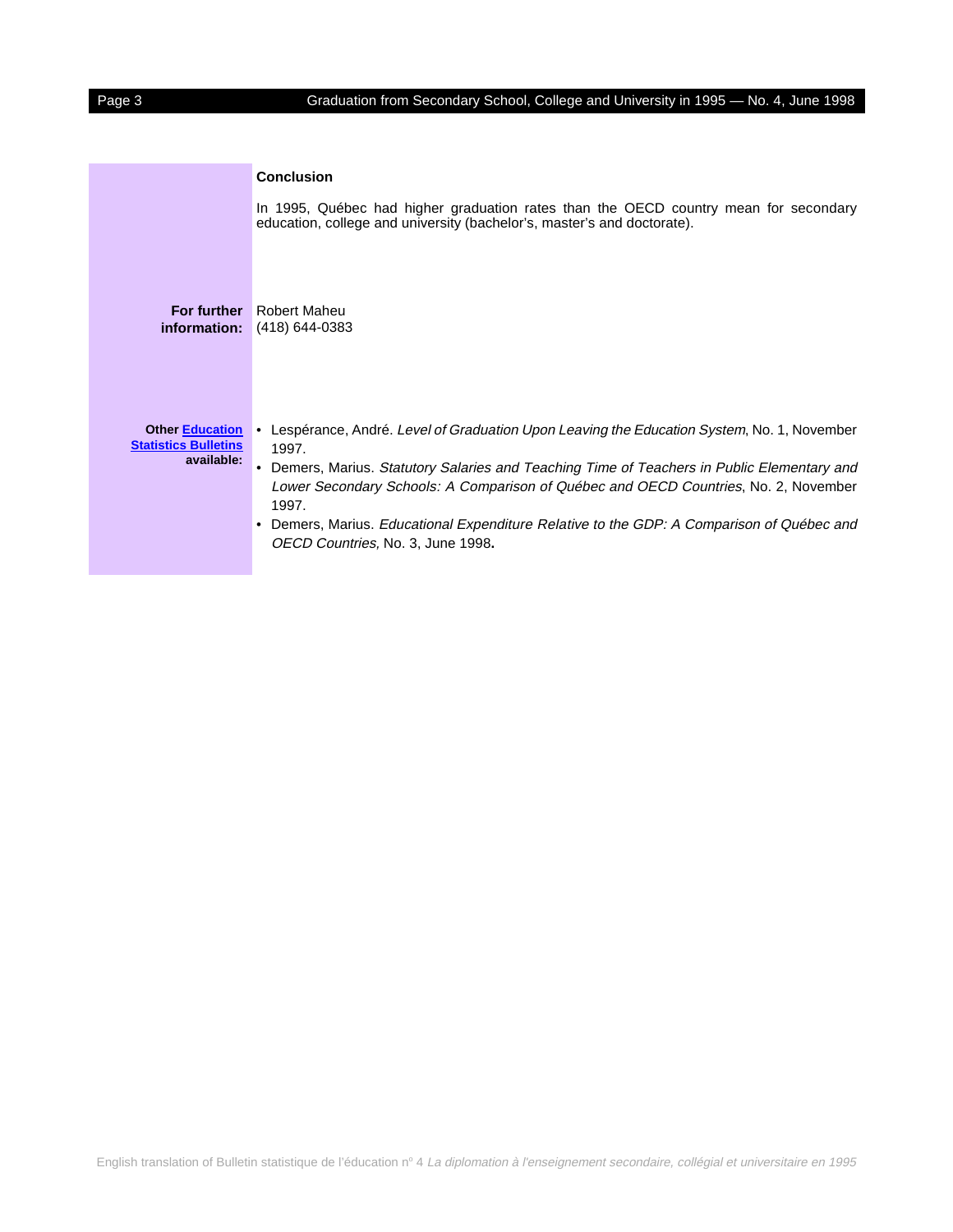|                                                                     | <b>Conclusion</b>                                                                                                                                                                                                                                                                                                                                                                                                                            |
|---------------------------------------------------------------------|----------------------------------------------------------------------------------------------------------------------------------------------------------------------------------------------------------------------------------------------------------------------------------------------------------------------------------------------------------------------------------------------------------------------------------------------|
|                                                                     | In 1995, Québec had higher graduation rates than the OECD country mean for secondary<br>education, college and university (bachelor's, master's and doctorate).                                                                                                                                                                                                                                                                              |
| For further<br>information:                                         | Robert Maheu<br>(418) 644-0383                                                                                                                                                                                                                                                                                                                                                                                                               |
| <b>Other Education</b><br><b>Statistics Bulletins</b><br>available: | Lespérance, André. Level of Graduation Upon Leaving the Education System, No. 1, November<br>1997.<br>Demers, Marius. Statutory Salaries and Teaching Time of Teachers in Public Elementary and<br>Lower Secondary Schools: A Comparison of Québec and OECD Countries, No. 2, November<br>1997.<br>Demers, Marius. Educational Expenditure Relative to the GDP: A Comparison of Québec and<br>$\bullet$<br>OECD Countries, No. 3, June 1998. |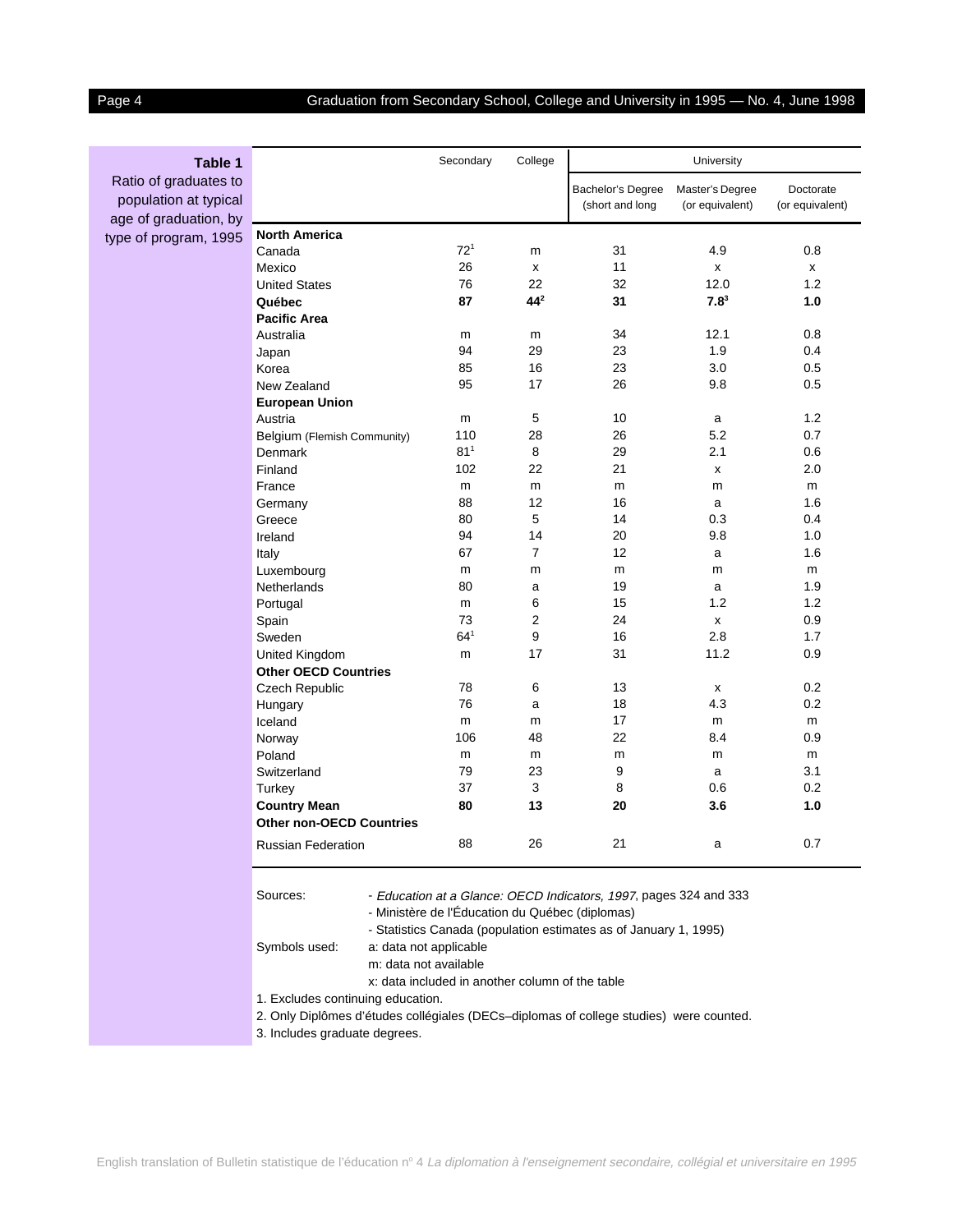# <span id="page-3-0"></span>Page 4 Graduation from Secondary School, College and University in 1995 — No. 4, June 1998

| Table 1                                        |                                                                                                                                                                                          | Secondary       | College         |                                      | <b>University</b>                  |                              |  |  |
|------------------------------------------------|------------------------------------------------------------------------------------------------------------------------------------------------------------------------------------------|-----------------|-----------------|--------------------------------------|------------------------------------|------------------------------|--|--|
| Ratio of graduates to<br>population at typical |                                                                                                                                                                                          |                 |                 | Bachelor's Degree<br>(short and long | Master's Degree<br>(or equivalent) | Doctorate<br>(or equivalent) |  |  |
| age of graduation, by                          |                                                                                                                                                                                          |                 |                 |                                      |                                    |                              |  |  |
| type of program, 1995                          | <b>North America</b>                                                                                                                                                                     | $72^{1}$        |                 | 31                                   | 4.9                                | 0.8                          |  |  |
|                                                | Canada<br>Mexico                                                                                                                                                                         | 26              | m               | 11                                   |                                    | x                            |  |  |
|                                                | <b>United States</b>                                                                                                                                                                     | 76              | x<br>22         | 32                                   | x<br>12.0                          | 1.2                          |  |  |
|                                                | Québec                                                                                                                                                                                   | 87              | 44 <sup>2</sup> | 31                                   | $7.8^3$                            | 1.0                          |  |  |
|                                                | <b>Pacific Area</b>                                                                                                                                                                      |                 |                 |                                      |                                    |                              |  |  |
|                                                | Australia                                                                                                                                                                                | m               | m               | 34                                   | 12.1                               | 0.8                          |  |  |
|                                                | Japan                                                                                                                                                                                    | 94              | 29              | 23                                   | 1.9                                | 0.4                          |  |  |
|                                                | Korea                                                                                                                                                                                    | 85              | 16              | 23                                   | 3.0                                | 0.5                          |  |  |
|                                                | New Zealand                                                                                                                                                                              | 95              | 17              | 26                                   | 9.8                                | 0.5                          |  |  |
|                                                | <b>European Union</b>                                                                                                                                                                    |                 |                 |                                      |                                    |                              |  |  |
|                                                | Austria                                                                                                                                                                                  | m               | 5               | 10                                   | a                                  | 1.2                          |  |  |
|                                                | Belgium (Flemish Community)                                                                                                                                                              | 110             | 28              | 26                                   | 5.2                                | 0.7                          |  |  |
|                                                | Denmark                                                                                                                                                                                  | 81 <sup>1</sup> | 8               | 29                                   | 2.1                                | 0.6                          |  |  |
|                                                | Finland                                                                                                                                                                                  | 102             | 22              | 21                                   | x                                  | 2.0                          |  |  |
|                                                | France                                                                                                                                                                                   | m               | m               | m                                    | m                                  | m                            |  |  |
|                                                | Germany                                                                                                                                                                                  | 88              | 12              | 16                                   | a                                  | 1.6                          |  |  |
|                                                | Greece                                                                                                                                                                                   | 80              | 5               | 14                                   | 0.3                                | 0.4                          |  |  |
|                                                | Ireland                                                                                                                                                                                  | 94              | 14              | 20                                   | 9.8                                | 1.0                          |  |  |
|                                                | Italy                                                                                                                                                                                    | 67              | $\overline{7}$  | 12                                   | a                                  | 1.6                          |  |  |
|                                                | Luxembourg                                                                                                                                                                               | m               | m               | m                                    | m                                  | m                            |  |  |
|                                                | Netherlands                                                                                                                                                                              | 80              | a               | 19                                   | a                                  | 1.9                          |  |  |
|                                                | Portugal                                                                                                                                                                                 | m               | 6               | 15                                   | 1.2                                | 1.2                          |  |  |
|                                                | Spain                                                                                                                                                                                    | 73              | 2               | 24                                   | x                                  | 0.9                          |  |  |
|                                                | Sweden                                                                                                                                                                                   | $64^{1}$        | 9               | 16                                   | 2.8                                | 1.7                          |  |  |
|                                                | United Kingdom                                                                                                                                                                           | m               | 17              | 31                                   | 11.2                               | 0.9                          |  |  |
|                                                | <b>Other OECD Countries</b>                                                                                                                                                              |                 |                 |                                      |                                    |                              |  |  |
|                                                | Czech Republic                                                                                                                                                                           | 78              | 6               | 13                                   | x                                  | 0.2                          |  |  |
|                                                | Hungary                                                                                                                                                                                  | 76              | a               | 18                                   | 4.3                                | 0.2                          |  |  |
|                                                | Iceland                                                                                                                                                                                  | m               | m               | 17                                   | m                                  | m                            |  |  |
|                                                | Norway                                                                                                                                                                                   | 106             | 48              | 22                                   | 8.4                                | 0.9                          |  |  |
|                                                | Poland                                                                                                                                                                                   | m               | m               | m                                    | m                                  | m                            |  |  |
|                                                | Switzerland                                                                                                                                                                              | 79              | 23              | 9                                    | a                                  | 3.1                          |  |  |
|                                                | Turkey                                                                                                                                                                                   | 37              | 3               | 8                                    | 0.6                                | 0.2                          |  |  |
|                                                | <b>Country Mean</b>                                                                                                                                                                      | 80              | 13              | 20                                   | 3.6                                | 1.0                          |  |  |
|                                                | <b>Other non-OECD Countries</b>                                                                                                                                                          |                 |                 |                                      |                                    |                              |  |  |
|                                                | <b>Russian Federation</b>                                                                                                                                                                | 88              | 26              | 21                                   | а                                  | 0.7                          |  |  |
|                                                | Sources:                                                                                                                                                                                 |                 |                 |                                      |                                    |                              |  |  |
|                                                | - Education at a Glance: OECD Indicators, 1997, pages 324 and 333<br>- Ministère de l'Éducation du Québec (diplomas)<br>- Statistics Canada (population estimates as of January 1, 1995) |                 |                 |                                      |                                    |                              |  |  |
|                                                | Symbols used:<br>a: data not applicable<br>m: data not available                                                                                                                         |                 |                 |                                      |                                    |                              |  |  |
|                                                | x: data included in another column of the table<br>1. Excludes continuing education.                                                                                                     |                 |                 |                                      |                                    |                              |  |  |
|                                                |                                                                                                                                                                                          |                 |                 |                                      |                                    |                              |  |  |
|                                                | 2. Only Diplômes d'études collégiales (DECs-diplomas of college studies) were counted.                                                                                                   |                 |                 |                                      |                                    |                              |  |  |
|                                                | 3. Includes graduate degrees.                                                                                                                                                            |                 |                 |                                      |                                    |                              |  |  |